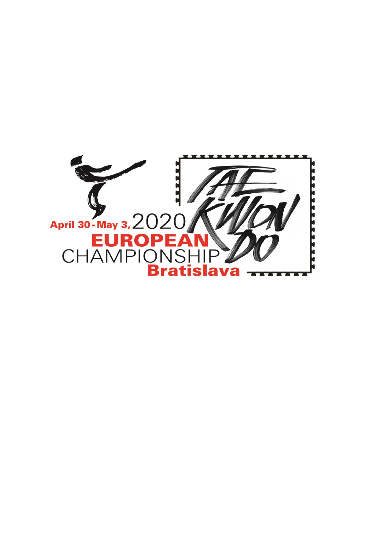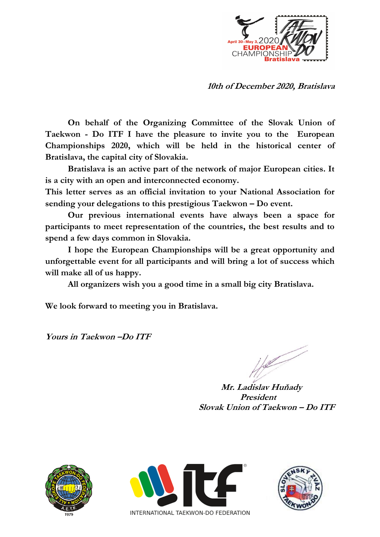

**10th of December 2020, Bratislava**

**On behalf of the Organizing Committee of the Slovak Union of Taekwon - Do ITF I have the pleasure to invite you to the European Championships 2020, which will be held in the historical center of Bratislava, the capital city of Slovakia.**

**Bratislava is an active part of the network of major European cities. It is a city with an open and interconnected economy.**

**This letter serves as an official invitation to your National Association for sending your delegations to this prestigious Taekwon – Do event.**

**Our previous international events have always been a space for participants to meet representation of the countries, the best results and to spend a few days common in Slovakia.**

**I hope the European Championships will be a great opportunity and unforgettable event for all participants and will bring a lot of success which will make all of us happy.**

**All organizers wish you a good time in a small big city Bratislava.**

**We look forward to meeting you in Bratislava.** 

**Yours in Taekwon –Do ITF**

 $\frac{1}{2}$ 

 **Mr. Ladislav Huňady President Slovak Union of Taekwon – Do ITF**





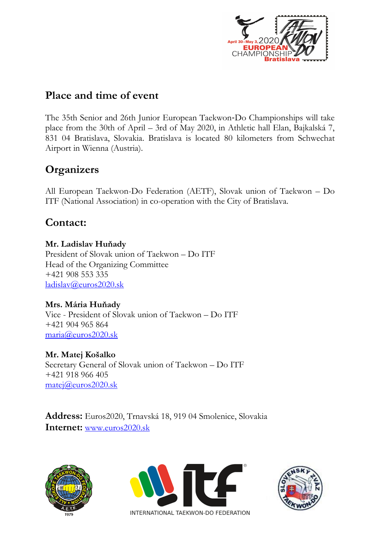

## **Place and time of event**

The 35th Senior and 26th Junior European Taekwon‐Do Championships will take place from the 30th of April – 3rd of May 2020, in Athletic hall Elan, Bajkalská 7, 831 04 Bratislava, Slovakia. Bratislava is located 80 kilometers from Schwechat Airport in Wienna (Austria).

# **Organizers**

All European Taekwon-Do Federation (AETF), Slovak union of Taekwon – Do ITF (National Association) in co-operation with the City of Bratislava.

# **Contact:**

#### **Mr. Ladislav Huňady**

President of Slovak union of Taekwon – Do ITF Head of the Organizing Committee +421 908 553 335 [ladislav@euros2020.sk](mailto:ladislav@euros2020.sk)

### **Mrs. Mária Huňady**

Vice - President of Slovak union of Taekwon – Do ITF +421 904 965 864 [maria@euros2020.sk](mailto:maria@euros2020.sk)

### **Mr. Matej Košalko**

Secretary General of Slovak union of Taekwon – Do ITF +421 918 966 405 [matej@euros2020.sk](mailto:matej@euros2020.sk)

**Address:** Euros2020, Trnavská 18, 919 04 Smolenice, Slovakia **Internet:** [www.euros2020.sk](http://www.euros2020.sk/)





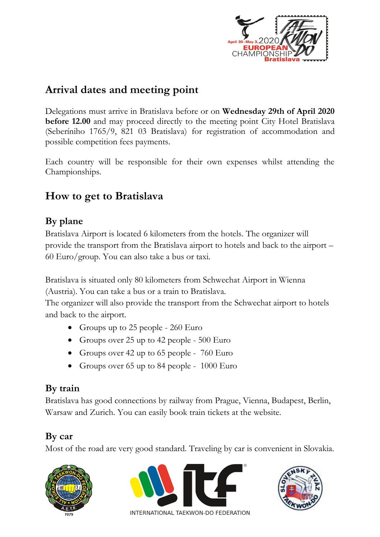

# **Arrival dates and meeting point**

Delegations must arrive in Bratislava before or on **Wednesday 29th of April 2020 before 12.00** and may proceed directly to the meeting point City Hotel Bratislava (Seberíniho 1765/9, 821 03 Bratislava) for registration of accommodation and possible competition fees payments.

Each country will be responsible for their own expenses whilst attending the Championships.

## **How to get to Bratislava**

### **By plane**

Bratislava Airport is located 6 kilometers from the hotels. The organizer will provide the transport from the Bratislava airport to hotels and back to the airport – 60 Euro/group. You can also take a bus or taxi.

Bratislava is situated only 80 kilometers from Schwechat Airport in Wienna (Austria). You can take a bus or a train to Bratislava.

The organizer will also provide the transport from the Schwechat airport to hotels and back to the airport.

- Groups up to 25 people 260 Euro
- Groups over 25 up to 42 people 500 Euro
- Groups over 42 up to 65 people  $760 \text{ Euro}$
- Groups over 65 up to 84 people 1000 Euro

## **By train**

Bratislava has good connections by railway from Prague, Vienna, Budapest, Berlin, Warsaw and Zurich. You can easily book train tickets at the website.

## **By car**

Most of the road are very good standard. Traveling by car is convenient in Slovakia.





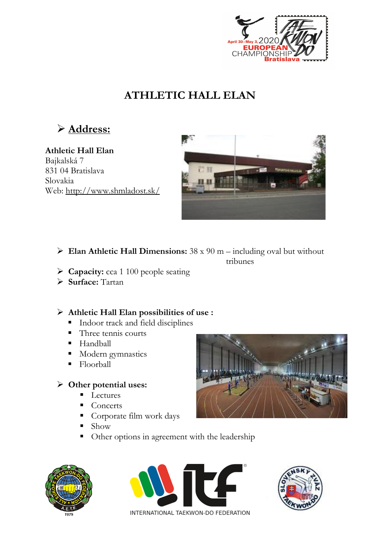

# **ATHLETIC HALL ELAN**

**Address:**

**Athletic Hall Elan** Bajkalská 7 831 04 Bratislava Slovakia Web:<http://www.shmladost.sk/>



- **Elan Athletic Hall Dimensions:** 38 x 90 m including oval but without tribunes
- **Capacity:** cca 1 100 people seating
- **Surface:** Tartan

#### **Athletic Hall Elan possibilities of use :**

- **Indoor track and field disciplines**
- Three tennis courts
- **Handball**
- Modern gymnastics
- **Floorball**

#### **Other potential uses:**

- $\blacksquare$  Lectures
- **Concerts**
- Corporate film work days
- Show
- Other options in agreement with the leadership







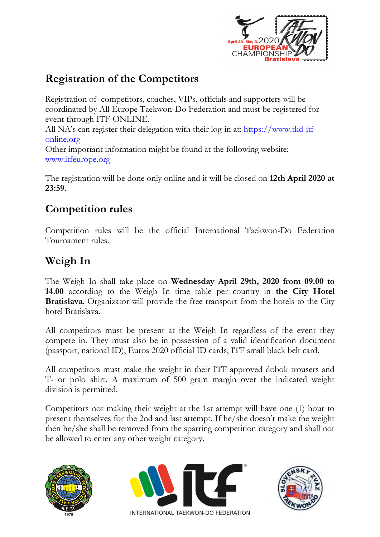

# **Registration of the Competitors**

Registration of competitors, coaches, VIPs, officials and supporters will be coordinated by All Europe Taekwon-Do Federation and must be registered for event through ITF-ONLINE. All NA's can register their delegation with their log-in at: [https://www.tkd-itf](https://www.tkd-itf-online.org/)[online.org](https://www.tkd-itf-online.org/)  Other important information might be found at the following website: [www.itfeurope.org](http://www.itfeurope.org/)

The registration will be done only online and it will be closed on **12th April 2020 at 23:59.**

## **Competition rules**

Competition rules will be the official International Taekwon-Do Federation Tournament rules.

# **Weigh In**

The Weigh In shall take place on **Wednesday April 29th, 2020 from 09.00 to 14.00** according to the Weigh In time table per country in **the City Hotel Bratislava**. Organizator will provide the free transport from the hotels to the City hotel Bratislava.

All competitors must be present at the Weigh In regardless of the event they compete in. They must also be in possession of a valid identification document (passport, national ID), Euros 2020 official ID cards, ITF small black belt card.

All competitors must make the weight in their ITF approved dobok trousers and T- or polo shirt. A maximum of 500 gram margin over the indicated weight division is permitted.

Competitors not making their weight at the 1st attempt will have one (1) hour to present themselves for the 2nd and last attempt. If he/she doesn't make the weight then he/she shall be removed from the sparring competition category and shall not be allowed to enter any other weight category.





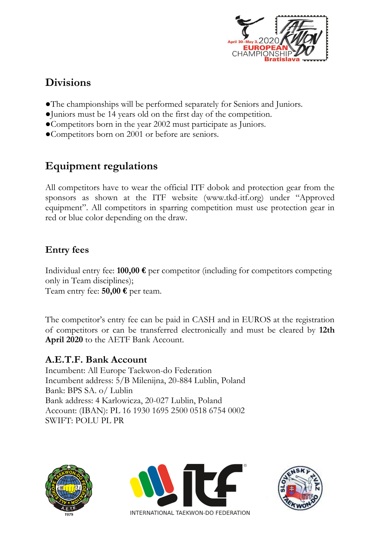

# **Divisions**

- ●The championships will be performed separately for Seniors and Juniors.
- ●Juniors must be 14 years old on the first day of the competition.
- ●Competitors born in the year 2002 must participate as Juniors.
- ●Competitors born on 2001 or before are seniors.

# **Equipment regulations**

All competitors have to wear the official ITF dobok and protection gear from the sponsors as shown at the ITF website (www.tkd-itf.org) under "Approved equipment". All competitors in sparring competition must use protection gear in red or blue color depending on the draw.

### **Entry fees**

Individual entry fee: **100,00 €** per competitor (including for competitors competing only in Team disciplines); Team entry fee: **50,00 €** per team.

The competitor's entry fee can be paid in CASH and in EUROS at the registration of competitors or can be transferred electronically and must be cleared by **12th April 2020** to the AETF Bank Account.

#### **A.E.T.F. Bank Account**

Incumbent: All Europe Taekwon-do Federation Incumbent address: 5/B Milenijna, 20-884 Lublin, Poland Bank: BPS SA. o/ Lublin Bank address: 4 Karlowicza, 20-027 Lublin, Poland Account: (IBAN): PL 16 1930 1695 2500 0518 6754 0002 SWIFT: POLU PL PR





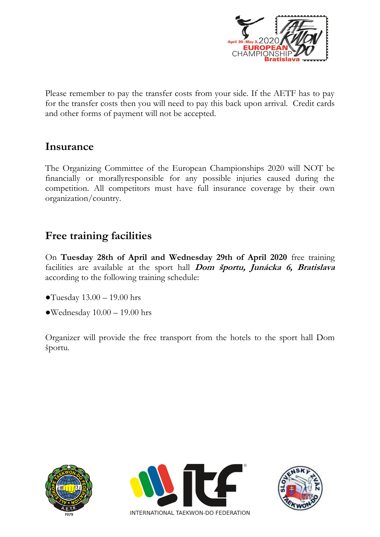

Please remember to pay the transfer costs from your side. If the AETF has to pay for the transfer costs then you will need to pay this back upon arrival. Credit cards and other forms of payment will not be accepted.

### **Insurance**

The Organizing Committee of the European Championships 2020 will NOT be financially or morallyresponsible for any possible injuries caused during the competition. All competitors must have full insurance coverage by their own organization/country.

## **Free training facilities**

On **Tuesday 28th of April and Wednesday 29th of April 2020** free training facilities are available at the sport hall **Dom športu, Junácka 6, Bratislava** according to the following training schedule:

- $\bullet$ Tuesday 13.00 19.00 hrs
- $\bullet$ Wednesday  $10.00 19.00$  hrs

Organizer will provide the free transport from the hotels to the sport hall Dom športu.





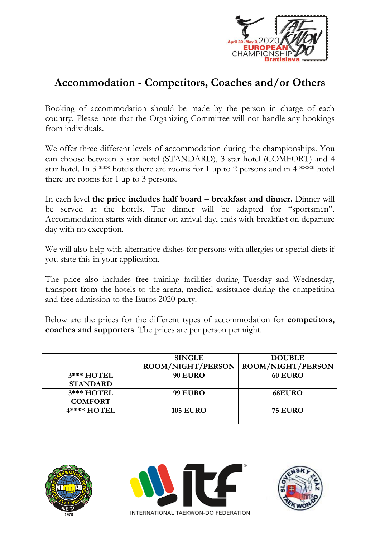

## **Accommodation - Competitors, Coaches and/or Others**

Booking of accommodation should be made by the person in charge of each country. Please note that the Organizing Committee will not handle any bookings from individuals.

We offer three different levels of accommodation during the championships. You can choose between 3 star hotel (STANDARD), 3 star hotel (COMFORT) and 4 star hotel. In  $3$  \*\*\* hotels there are rooms for 1 up to 2 persons and in  $4$  \*\*\*\* hotel there are rooms for 1 up to 3 persons.

In each level **the price includes half board – breakfast and dinner.** Dinner will be served at the hotels. The dinner will be adapted for "sportsmen". Accommodation starts with dinner on arrival day, ends with breakfast on departure day with no exception.

We will also help with alternative dishes for persons with allergies or special diets if you state this in your application.

The price also includes free training facilities during Tuesday and Wednesday, transport from the hotels to the arena, medical assistance during the competition and free admission to the Euros 2020 party.

Below are the prices for the different types of accommodation for **competitors, coaches and supporters**. The prices are per person per night.

|                 | <b>SINGLE</b>     | <b>DOUBLE</b>     |
|-----------------|-------------------|-------------------|
|                 | ROOM/NIGHT/PERSON | ROOM/NIGHT/PERSON |
| 3*** HOTEL      | <b>90 EURO</b>    | <b>60 EURO</b>    |
| <b>STANDARD</b> |                   |                   |
| 3*** HOTEL      | <b>99 EURO</b>    | <b>68EURO</b>     |
| <b>COMFORT</b>  |                   |                   |
| 4**** HOTEL     | <b>105 EURO</b>   | <b>75 EURO</b>    |
|                 |                   |                   |





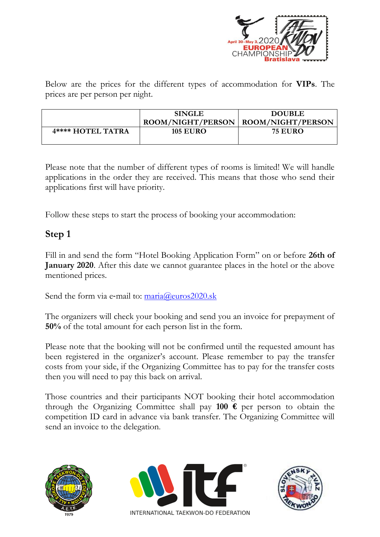

Below are the prices for the different types of accommodation for **VIPs**. The prices are per person per night.

|                   | <b>SINGLE</b>                         | <b>DOUBLE</b>  |
|-------------------|---------------------------------------|----------------|
|                   | ROOM/NIGHT/PERSON   ROOM/NIGHT/PERSON |                |
| 4**** HOTEL TATRA | <b>105 EURO</b>                       | <b>75 EURO</b> |

Please note that the number of different types of rooms is limited! We will handle applications in the order they are received. This means that those who send their applications first will have priority.

Follow these steps to start the process of booking your accommodation:

#### **Step 1**

Fill in and send the form "Hotel Booking Application Form" on or before **26th of January 2020**. After this date we cannot guarantee places in the hotel or the above mentioned prices.

Send the form via e-mail to:  $\text{maria@euros2020}$ .sk

The organizers will check your booking and send you an invoice for prepayment of **50%** of the total amount for each person list in the form.

Please note that the booking will not be confirmed until the requested amount has been registered in the organizer's account. Please remember to pay the transfer costs from your side, if the Organizing Committee has to pay for the transfer costs then you will need to pay this back on arrival.

Those countries and their participants NOT booking their hotel accommodation through the Organizing Committee shall pay **100 €** per person to obtain the competition ID card in advance via bank transfer. The Organizing Committee will send an invoice to the delegation.





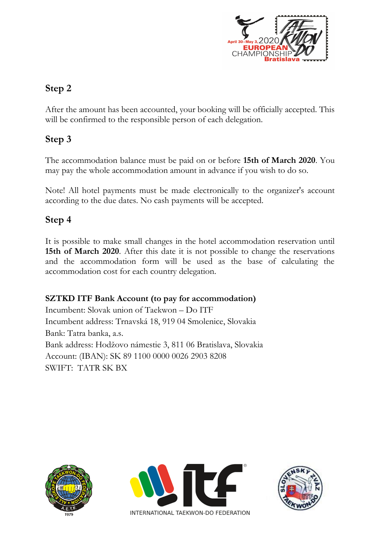

### **Step 2**

After the amount has been accounted, your booking will be officially accepted. This will be confirmed to the responsible person of each delegation.

### **Step 3**

The accommodation balance must be paid on or before **15th of March 2020**. You may pay the whole accommodation amount in advance if you wish to do so.

Note! All hotel payments must be made electronically to the organizer's account according to the due dates. No cash payments will be accepted.

#### **Step 4**

It is possible to make small changes in the hotel accommodation reservation until **15th of March 2020**. After this date it is not possible to change the reservations and the accommodation form will be used as the base of calculating the accommodation cost for each country delegation.

#### **SZTKD ITF Bank Account (to pay for accommodation)**

Incumbent: Slovak union of Taekwon – Do ITF Incumbent address: Trnavská 18, 919 04 Smolenice, Slovakia Bank: Tatra banka, a.s. Bank address: Hodžovo námestie 3, 811 06 Bratislava, Slovakia Account: (IBAN): SK 89 1100 0000 0026 2903 8208 SWIFT: TATR SK BX





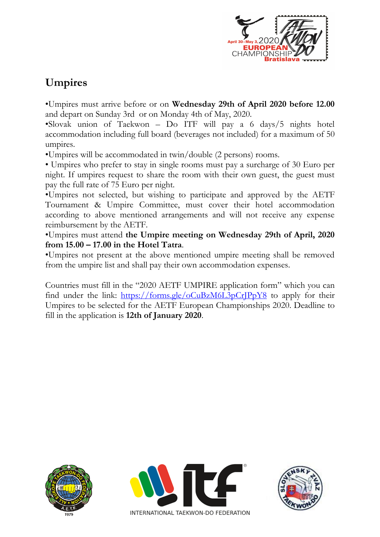

# **Umpires**

•Umpires must arrive before or on **Wednesday 29th of April 2020 before 12.00** and depart on Sunday 3rd or on Monday 4th of May, 2020.

•Slovak union of Taekwon – Do ITF will pay a 6 days/5 nights hotel accommodation including full board (beverages not included) for a maximum of 50 umpires.

•Umpires will be accommodated in twin/double (2 persons) rooms.

• Umpires who prefer to stay in single rooms must pay a surcharge of 30 Euro per night. If umpires request to share the room with their own guest, the guest must pay the full rate of 75 Euro per night.

•Umpires not selected, but wishing to participate and approved by the AETF Tournament & Umpire Committee, must cover their hotel accommodation according to above mentioned arrangements and will not receive any expense reimbursement by the AETF.

•Umpires must attend **the Umpire meeting on Wednesday 29th of April, 2020 from 15.00 – 17.00 in the Hotel Tatra**.

•Umpires not present at the above mentioned umpire meeting shall be removed from the umpire list and shall pay their own accommodation expenses.

Countries must fill in the "2020 AETF UMPIRE application form" which you can find under the link: <https://forms.gle/oCuBzM6L3pCrJPpY8> to apply for their Umpires to be selected for the AETF European Championships 2020. Deadline to fill in the application is **12th of January 2020**.





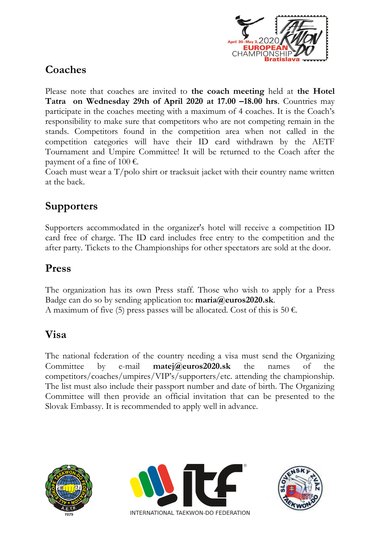

# **Coaches**

Please note that coaches are invited to **the coach meeting** held at **the Hotel Tatra on Wednesday 29th of April 2020 at 17.00 –18.00 hrs**. Countries may participate in the coaches meeting with a maximum of 4 coaches. It is the Coach's responsibility to make sure that competitors who are not competing remain in the stands. Competitors found in the competition area when not called in the competition categories will have their ID card withdrawn by the AETF Tournament and Umpire Committee! It will be returned to the Coach after the payment of a fine of  $100 \text{ } \in$ .

Coach must wear a  $T/polo$  shirt or tracksuit jacket with their country name written at the back.

# **Supporters**

Supporters accommodated in the organizer's hotel will receive a competition ID card free of charge. The ID card includes free entry to the competition and the after party. Tickets to the Championships for other spectators are sold at the door.

### **Press**

The organization has its own Press staff. Those who wish to apply for a Press Badge can do so by sending application to: **maria@euros2020.sk**. A maximum of five (5) press passes will be allocated. Cost of this is 50  $\epsilon$ .

## **Visa**

The national federation of the country needing a visa must send the Organizing Committee by e-mail **matej@euros2020.sk** the names of the competitors/coaches/umpires/VIP's/supporters/etc. attending the championship. The list must also include their passport number and date of birth. The Organizing Committee will then provide an official invitation that can be presented to the Slovak Embassy. It is recommended to apply well in advance.





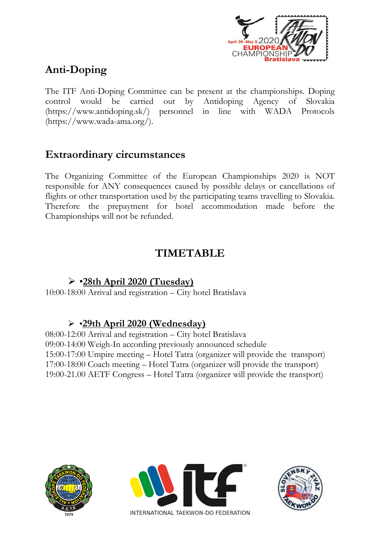

# **Anti-Doping**

The ITF Anti-Doping Committee can be present at the championships. Doping control would be carried out by Antidoping Agency of Slovakia (https://www.antidoping.sk/) personnel in line with WADA Protocols (https://www.wada-ama.org/).

### **Extraordinary circumstances**

The Organizing Committee of the European Championships 2020 is NOT responsible for ANY consequences caused by possible delays or cancellations of flights or other transportation used by the participating teams travelling to Slovakia. Therefore the prepayment for hotel accommodation made before the Championships will not be refunded.

### **TIMETABLE**

### •**28th April 2020 (Tuesday)**

10:00-18:00 Arrival and registration – City hotel Bratislava

### •**29th April 2020 (Wednesday)**

08:00-12:00 Arrival and registration – City hotel Bratislava 09:00-14:00 Weigh-In according previously announced schedule 15:00-17:00 Umpire meeting – Hotel Tatra (organizer will provide the transport) 17:00-18:00 Coach meeting – Hotel Tatra (organizer will provide the transport) 19:00-21.00 AETF Congress – Hotel Tatra (organizer will provide the transport)





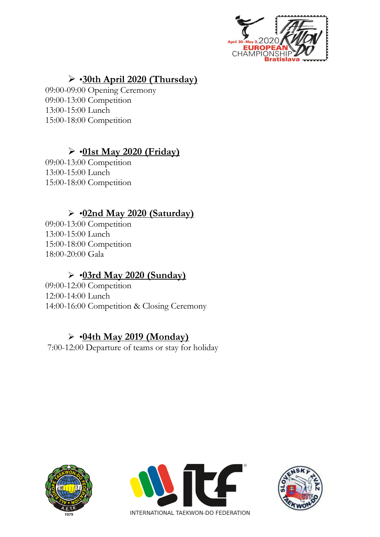

## •**30th April 2020 (Thursday)**

09:00-09:00 Opening Ceremony 09:00-13:00 Competition 13:00-15:00 Lunch 15:00-18:00 Competition

## •**01st May 2020 (Friday)**

09:00-13:00 Competition 13:00-15:00 Lunch 15:00-18:00 Competition

### •**02nd May 2020 (Saturday)**

09:00-13:00 Competition 13:00-15:00 Lunch 15:00-18:00 Competition 18:00-20:00 Gala

### •**03rd May 2020 (Sunday)**

09:00-12:00 Competition 12:00-14:00 Lunch 14:00-16:00 Competition & Closing Ceremony

### •**04th May 2019 (Monday)**

7:00-12:00 Departure of teams or stay for holiday